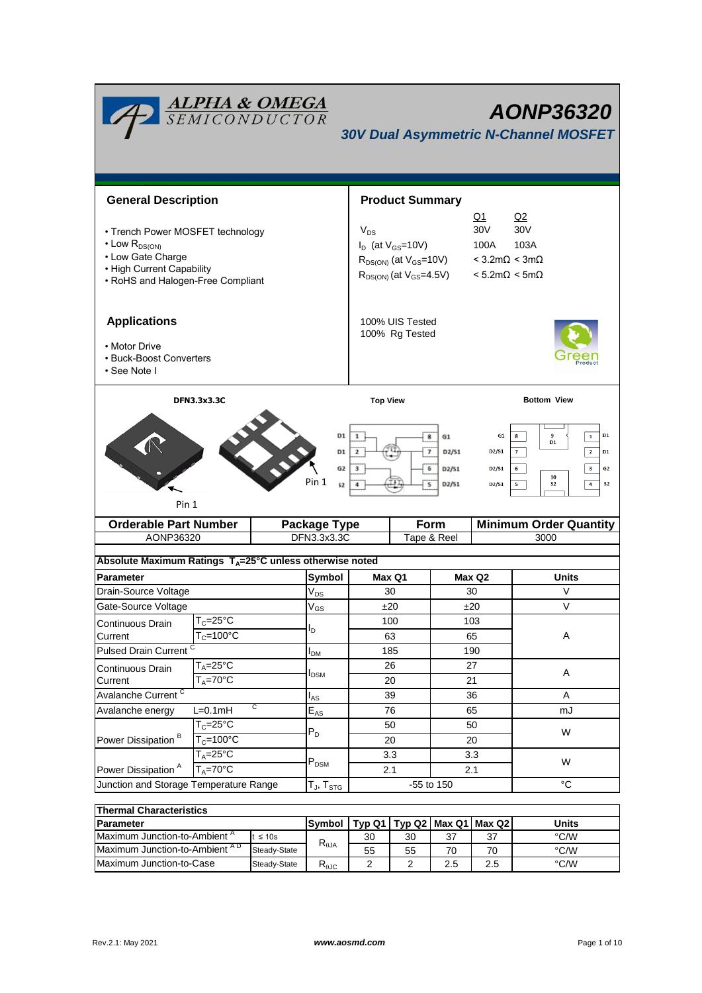| <b>ALPHA &amp; OMEGA</b><br>SEMICONDUCTOR<br><b>AONP36320</b><br><b>30V Dual Asymmetric N-Channel MOSFET</b> |                                             |           |                             |                                  |                                           |                         |                                                                                                    |                                                                                                                      |  |
|--------------------------------------------------------------------------------------------------------------|---------------------------------------------|-----------|-----------------------------|----------------------------------|-------------------------------------------|-------------------------|----------------------------------------------------------------------------------------------------|----------------------------------------------------------------------------------------------------------------------|--|
| <b>General Description</b>                                                                                   |                                             |           |                             |                                  | <b>Product Summary</b>                    |                         |                                                                                                    |                                                                                                                      |  |
| • Trench Power MOSFET technology                                                                             |                                             |           |                             | <u>Q1</u><br>30V<br>$V_{DS}$     |                                           |                         |                                                                                                    | Q2<br>30V                                                                                                            |  |
| $\cdot$ Low R <sub>DS(ON)</sub>                                                                              |                                             |           |                             | $I_D$ (at $V_{GS}$ =10V)<br>100A |                                           |                         | 103A                                                                                               |                                                                                                                      |  |
| • Low Gate Charge<br>• High Current Capability                                                               |                                             |           |                             |                                  | $R_{DS(ON)}$ (at $V_{GS}$ =10V)           |                         | $<$ 3.2m $\Omega$ < 3m $\Omega$                                                                    |                                                                                                                      |  |
| • RoHS and Halogen-Free Compliant                                                                            |                                             |           |                             | $R_{DS(ON)}$ (at $V_{GS}$ =4.5V) | $< 5.2 \text{m}\Omega < 5 \text{m}\Omega$ |                         |                                                                                                    |                                                                                                                      |  |
| <b>Applications</b>                                                                                          |                                             |           |                             | 100% UIS Tested                  |                                           |                         |                                                                                                    |                                                                                                                      |  |
| • Motor Drive                                                                                                |                                             |           |                             |                                  | 100% Rg Tested                            |                         |                                                                                                    |                                                                                                                      |  |
| • Buck-Boost Converters<br>• See Note I                                                                      |                                             |           |                             |                                  |                                           |                         |                                                                                                    |                                                                                                                      |  |
| <b>DFN3.3x3.3C</b>                                                                                           |                                             |           |                             | <b>Top View</b>                  |                                           |                         | <b>Bottom View</b>                                                                                 |                                                                                                                      |  |
| D <sub>1</sub><br>$\overline{2}$<br>G <sub>2</sub><br>з<br>Pin 1<br>52<br>4<br>Pin 1                         |                                             |           |                             |                                  | 6                                         | D2/51<br>D2/51<br>D2/51 | D <sub>2</sub> /S <sub>1</sub><br>D <sub>2</sub> /S <sub>1</sub><br>D <sub>2</sub> /S <sub>1</sub> | $\overline{2}$<br>$\mathbf{7}$<br>D1<br>3<br>6<br>G <sub>2</sub><br>10<br>5<br>4<br>S <sub>2</sub><br>S <sub>2</sub> |  |
| <b>Orderable Part Number</b>                                                                                 |                                             |           | <b>Package Type</b>         |                                  |                                           | Form                    | <b>Minimum Order Quantity</b>                                                                      |                                                                                                                      |  |
| AONP36320                                                                                                    |                                             |           | DFN3.3x3.3C                 |                                  |                                           | Tape & Reel             |                                                                                                    | 3000                                                                                                                 |  |
| Absolute Maximum Ratings $T_A = 25^\circ C$ unless otherwise noted                                           |                                             |           |                             |                                  |                                           |                         |                                                                                                    |                                                                                                                      |  |
| Parameter                                                                                                    |                                             | Symbol    | Max Q1                      |                                  | Max Q2                                    |                         | Units                                                                                              |                                                                                                                      |  |
| Drain-Source Voltage                                                                                         |                                             |           | $V_{DS}$                    |                                  | 30                                        |                         | 30                                                                                                 | V                                                                                                                    |  |
| Gate-Source Voltage                                                                                          |                                             |           | $V_{GS}$                    |                                  | ±20                                       | ±20                     |                                                                                                    | $\vee$                                                                                                               |  |
| Continuous Drain                                                                                             | $T_c = 25^\circ C$<br>$T_c = 100^{\circ}$ C |           | I <sub>D</sub>              | 100                              |                                           |                         | 103                                                                                                |                                                                                                                      |  |
| Current                                                                                                      |                                             |           |                             |                                  | 63                                        |                         | 65                                                                                                 | Α                                                                                                                    |  |
| <b>Pulsed Drain Current</b>                                                                                  |                                             |           | I <sub>DM</sub>             |                                  | 185                                       | 190                     |                                                                                                    |                                                                                                                      |  |
| Continuous Drain                                                                                             | $T_A = 25$ °C<br>$T_A = 70$ °C              |           | $I_{DSM}$                   |                                  | 26                                        |                         | 27                                                                                                 | A                                                                                                                    |  |
| Current<br>Avalanche Current <sup>C</sup>                                                                    |                                             |           |                             |                                  | 20<br>39                                  | 21<br>36                |                                                                                                    | Α                                                                                                                    |  |
| Avalanche energy                                                                                             | $\overline{c}$<br>$L=0.1mH$                 |           | l <sub>AS</sub><br>$E_{AS}$ |                                  | 76                                        | 65                      |                                                                                                    | mJ                                                                                                                   |  |
| Power Dissipation <sup>B</sup>                                                                               | $T_C = 25$ °C<br>$T_c = 100°C$              |           | $P_D$                       |                                  | 50                                        | 50                      |                                                                                                    |                                                                                                                      |  |
|                                                                                                              |                                             |           |                             |                                  | 20                                        |                         | 20                                                                                                 | W                                                                                                                    |  |
|                                                                                                              | $T_A = 25^\circ C$                          |           |                             |                                  | 3.3                                       | 3.3                     |                                                                                                    | W                                                                                                                    |  |
| $T_A = 70^\circ C$<br>Power Dissipation <sup>A</sup>                                                         |                                             | $P_{DSM}$ | 2.1                         |                                  | 2.1                                       |                         |                                                                                                    |                                                                                                                      |  |
| Junction and Storage Temperature Range                                                                       |                                             |           | $T_J$ , $T_{STG}$           |                                  |                                           | -55 to 150              |                                                                                                    | $^{\circ}C$                                                                                                          |  |
| <b>Thermal Characteristics</b>                                                                               |                                             |           |                             |                                  |                                           |                         |                                                                                                    |                                                                                                                      |  |
|                                                                                                              |                                             |           |                             |                                  |                                           |                         |                                                                                                    |                                                                                                                      |  |

| THEITHAI UNATAUCH ISUUS                  |              |                |    |    |                                   |         |      |  |
|------------------------------------------|--------------|----------------|----|----|-----------------------------------|---------|------|--|
| <b>IParameter</b>                        | Symbol       |                |    |    | Typ Q1   Typ Q2   Max Q1   Max Q2 | Units   |      |  |
| Maximum Junction-to-Ambient <sup>"</sup> | $\leq 10s$   | $R_{\theta$ JA | 30 | 30 | 37                                | 27<br>ູ | °C/W |  |
| Maximum Junction-to-Ambient AD           | Steady-State |                | 55 | 55 |                                   | 70      | °C/W |  |
| Maximum Junction-to-Case                 | Steady-State | D<br>ι απ      |    |    | 2.5                               | د.ء     | °C/W |  |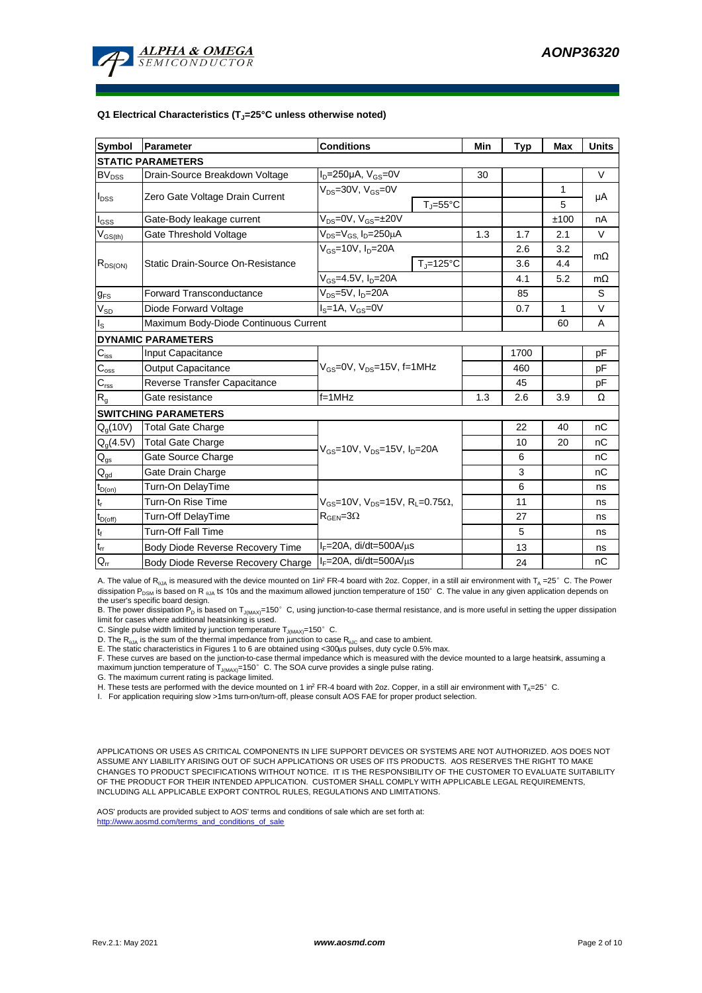

#### **Q1 Electrical Characteristics (TJ=25°C unless otherwise noted)**

| <b>Symbol</b>                          | Parameter                             | <b>Conditions</b>                                                                                            | Min                          | <b>Typ</b> | <b>Max</b> | <b>Units</b> |           |  |  |
|----------------------------------------|---------------------------------------|--------------------------------------------------------------------------------------------------------------|------------------------------|------------|------------|--------------|-----------|--|--|
| <b>STATIC PARAMETERS</b>               |                                       |                                                                                                              |                              |            |            |              |           |  |  |
| <b>BV<sub>DSS</sub></b>                | Drain-Source Breakdown Voltage        | $I_D = 250 \mu A$ , $V_{GS} = 0V$                                                                            |                              | 30         |            |              | $\vee$    |  |  |
| $I_{DSS}$                              | Zero Gate Voltage Drain Current       | $V_{DS}$ =30V, $V_{GS}$ =0V                                                                                  |                              |            |            | 1            | μA        |  |  |
|                                        |                                       |                                                                                                              | $T_{\text{J}} = 55^{\circ}C$ |            |            | 5            |           |  |  |
| $I_{GSS}$                              | Gate-Body leakage current             | $V_{DS} = 0V$ , $V_{GS} = \pm 20V$                                                                           |                              |            |            | ±100         | nA        |  |  |
| $V_{GS(th)}$                           | Gate Threshold Voltage                | V <sub>DS</sub> =V <sub>GS.</sub> I <sub>D</sub> =250µA                                                      |                              | 1.3        | 1.7        | 2.1          | V         |  |  |
|                                        |                                       | $V_{\text{GS}}$ =10V, $I_{\text{D}}$ =20A                                                                    |                              |            | 2.6        | 3.2          | $m\Omega$ |  |  |
| $R_{DS(ON)}$                           | Static Drain-Source On-Resistance     |                                                                                                              | $T_{\rm J}$ =125°C           |            | 3.6        | 4.4          |           |  |  |
|                                        |                                       | $V_{GS} = 4.5V, I_D = 20A$                                                                                   |                              |            | 4.1        | 5.2          | $m\Omega$ |  |  |
| $g_{FS}$                               | <b>Forward Transconductance</b>       | $V_{DS}=5V$ , $I_D=20A$                                                                                      |                              |            | 85         |              | S         |  |  |
| $V_{SD}$                               | Diode Forward Voltage                 | $I_S = 1A$ , $V_{GS} = 0V$                                                                                   |                              |            | 0.7        | 1            | V         |  |  |
| $\mathsf{I}_\mathsf{S}$                | Maximum Body-Diode Continuous Current |                                                                                                              |                              |            |            | 60           | A         |  |  |
|                                        | <b>DYNAMIC PARAMETERS</b>             |                                                                                                              |                              |            |            |              |           |  |  |
| $\mathbf{C}_{\text{iss}}$              | Input Capacitance                     |                                                                                                              |                              |            | 1700       |              | рF        |  |  |
| $C_{\rm oss}$                          | <b>Output Capacitance</b>             | $V_{GS}$ =0V, $V_{DS}$ =15V, f=1MHz                                                                          |                              | 460        |            | рF           |           |  |  |
| $\mathbf{C}_{\text{rss}}$              | Reverse Transfer Capacitance          |                                                                                                              |                              | 45         |            | рF           |           |  |  |
| $R_{g}$                                | Gate resistance                       | $f=1$ MHz                                                                                                    | 1.3                          | 2.6        | 3.9        | Ω            |           |  |  |
|                                        | <b>SWITCHING PARAMETERS</b>           |                                                                                                              |                              |            |            |              |           |  |  |
| $Q_q(10V)$                             | <b>Total Gate Charge</b>              |                                                                                                              |                              |            | 22         | 40           | nC        |  |  |
| $Q_g(4.5V)$                            | <b>Total Gate Charge</b>              | $V_{GS}$ =10V, $V_{DS}$ =15V, $I_{D}$ =20A                                                                   |                              |            | 10         | 20           | nC        |  |  |
| $Q_{gs}$                               | Gate Source Charge                    |                                                                                                              |                              | 6          |            | nC           |           |  |  |
| $\mathsf{Q}_{\underline{\mathsf{gd}}}$ | Gate Drain Charge                     |                                                                                                              |                              |            | 3          |              | nC        |  |  |
| $t_{D(on)}$                            | Turn-On DelayTime                     | $V_{GS}$ =10V, $V_{DS}$ =15V, R <sub>L</sub> =0.75 $\Omega$ ,<br>$\mathsf{R}_{\mathsf{GEN}}\!\!=\!\!3\Omega$ |                              |            | 6          |              | ns        |  |  |
| $t_r$                                  | Turn-On Rise Time                     |                                                                                                              |                              |            | 11         |              | ns        |  |  |
| $t_{D(off)}$                           | Turn-Off DelayTime                    |                                                                                                              |                              |            | 27         |              | ns        |  |  |
| $\mathsf{t}_{\mathsf{f}}$              | <b>Turn-Off Fall Time</b>             |                                                                                                              |                              | 5          |            | ns           |           |  |  |
| $t_{rr}$                               | Body Diode Reverse Recovery Time      | $I_F = 20A$ , di/dt=500A/ $\mu$ s                                                                            |                              |            | 13         |              | ns        |  |  |
| $Q_{rr}$                               | Body Diode Reverse Recovery Charge    | $I_F = 20A$ , di/dt=500A/ $\mu$ s                                                                            |                              |            | 24         |              | nC        |  |  |

A. The value of R<sub>0JA</sub> is measured with the device mounted on 1in<sup>2</sup> FR-4 board with 2oz. Copper, in a still air environment with T<sub>A</sub> =25° C. The Power dissipation P<sub>DSM</sub> is based on R <sub>0JA</sub> t≤ 10s and the maximum allowed junction temperature of 150°C. The value in any given application depends on the user's specific board design

B. The power dissipation P<sub>D</sub> is based on T<sub>J(MAX)</sub>=150°C, using junction-to-case thermal resistance, and is more useful in setting the upper dissipation limit for cases where additional heatsinking is used.

C. Single pulse width limited by junction temperature  $T_{\text{MAX}}$ =150°C.

D. The  $R_{a1a}$  is the sum of the thermal impedance from junction to case  $R_{a1c}$  and case to ambient.

E. The static characteristics in Figures 1 to 6 are obtained using <300us pulses, duty cycle 0.5% max.

F. These curves are based on the junction-to-case thermal impedance which is measured with the device mounted to a large heatsink, assuming a<br>maximum junction temperature of T<sub>JMAX)</sub>=150°C. The SOA curve provides a single

G. The maximum current rating is package limited.

H. These tests are performed with the device mounted on 1 in<sup>2</sup> FR-4 board with 2oz. Copper, in a still air environment with T<sub>A</sub>=25°C.

I. For application requiring slow >1ms turn-on/turn-off, please consult AOS FAE for proper product selection.

APPLICATIONS OR USES AS CRITICAL COMPONENTS IN LIFE SUPPORT DEVICES OR SYSTEMS ARE NOT AUTHORIZED. AOS DOES NOT ASSUME ANY LIABILITY ARISING OUT OF SUCH APPLICATIONS OR USES OF ITS PRODUCTS. AOS RESERVES THE RIGHT TO MAKE CHANGES TO PRODUCT SPECIFICATIONS WITHOUT NOTICE. IT IS THE RESPONSIBILITY OF THE CUSTOMER TO EVALUATE SUITABILITY OF THE PRODUCT FOR THEIR INTENDED APPLICATION. CUSTOMER SHALL COMPLY WITH APPLICABLE LEGAL REQUIREMENTS, INCLUDING ALL APPLICABLE EXPORT CONTROL RULES, REGULATIONS AND LIMITATIONS.

AOS' products are provided subject to AOS' terms and conditions of sale which are set forth at: http://www.aosmd.com/terms\_and\_conditions\_of\_sale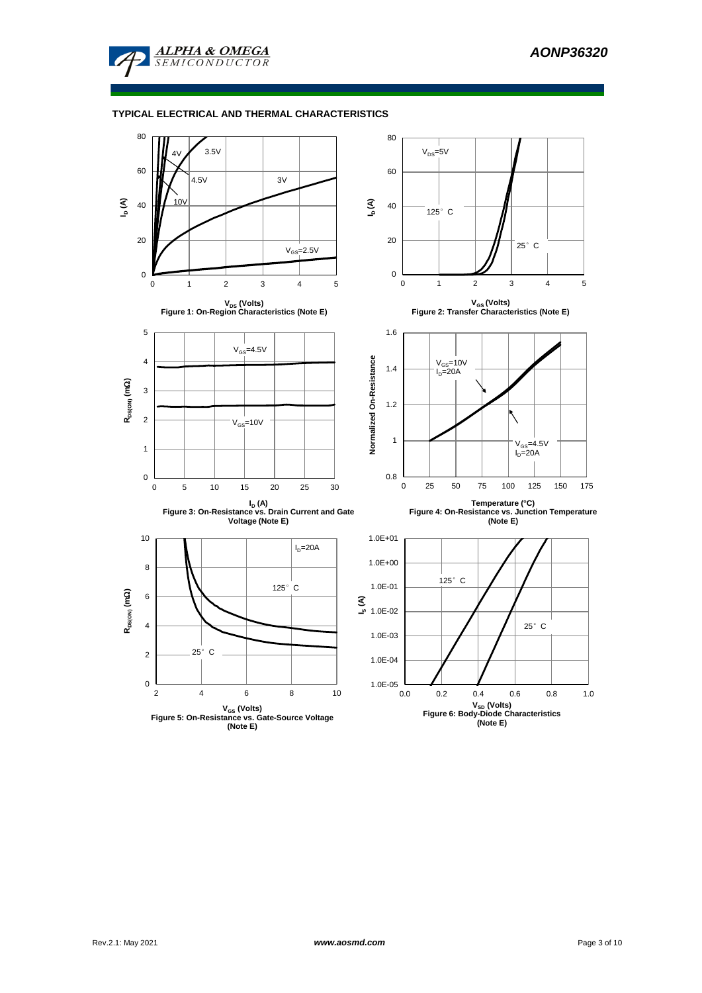

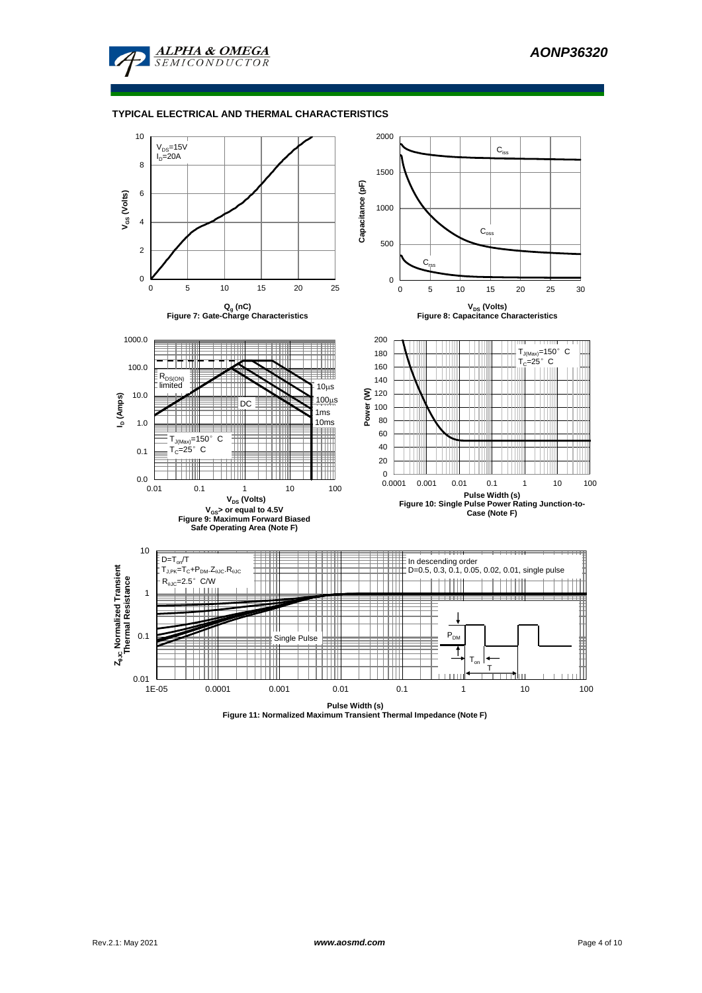



**Pulse Width (s) Figure 11: Normalized Maximum Transient Thermal Impedance (Note F)**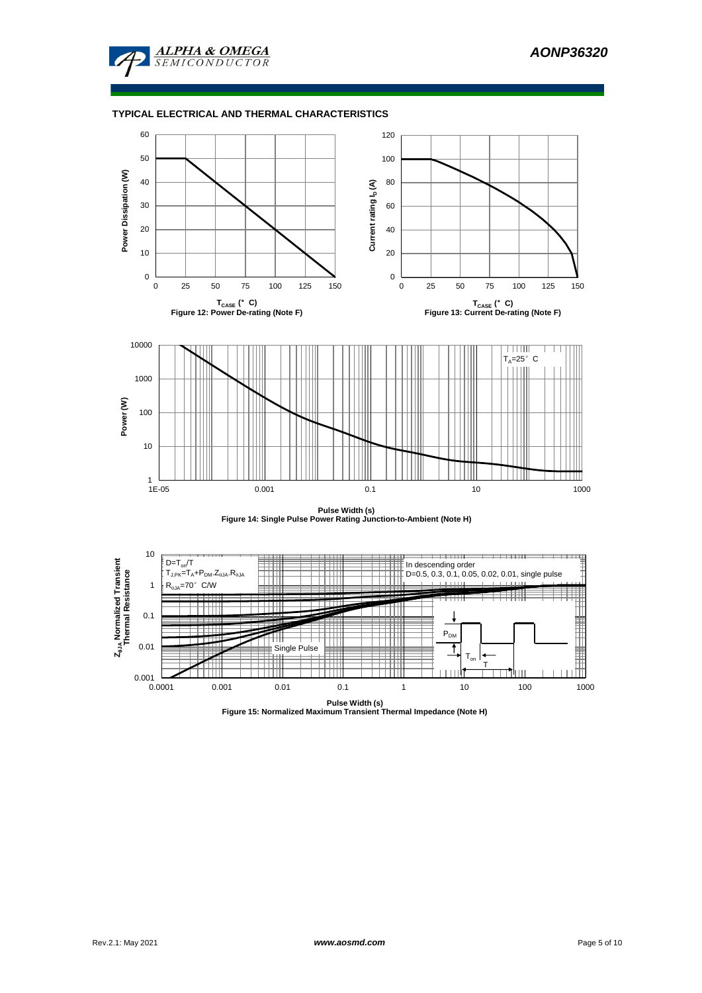





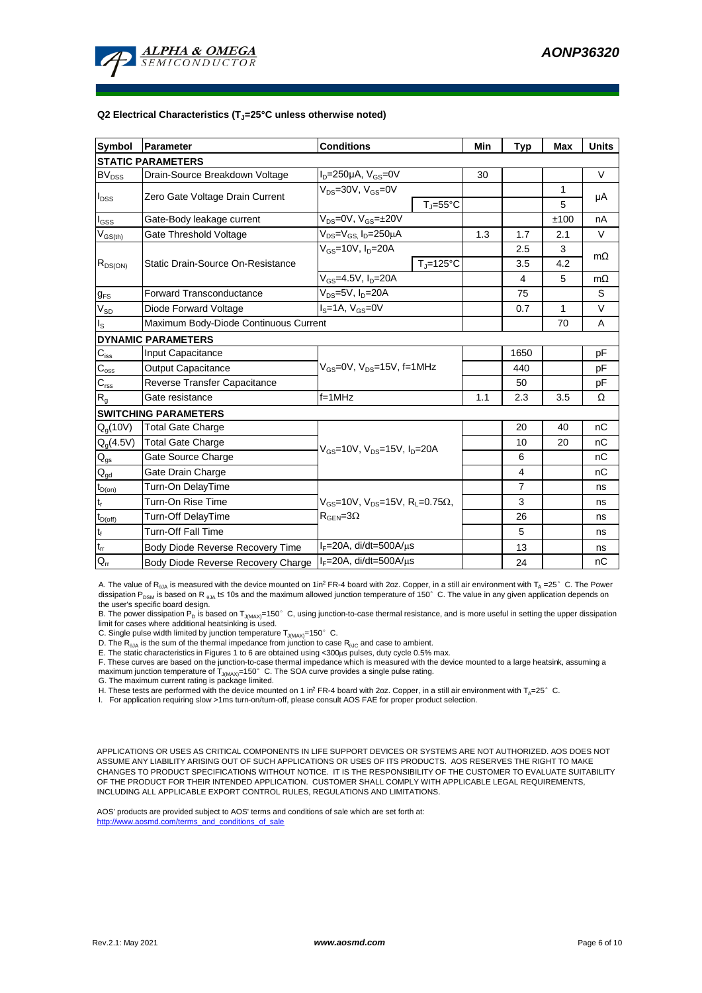

#### **Q2 Electrical Characteristics (TJ=25°C unless otherwise noted)**

| <b>Symbol</b>                           | Parameter                             | <b>Conditions</b>                                                                                | Min               | <b>Typ</b> | <b>Max</b>     | <b>Units</b> |           |  |  |
|-----------------------------------------|---------------------------------------|--------------------------------------------------------------------------------------------------|-------------------|------------|----------------|--------------|-----------|--|--|
| <b>STATIC PARAMETERS</b>                |                                       |                                                                                                  |                   |            |                |              |           |  |  |
| <b>BV</b> <sub>DSS</sub>                | Drain-Source Breakdown Voltage        | $I_D = 250 \mu A$ , $V_{GS} = 0V$                                                                |                   | 30         |                |              | $\vee$    |  |  |
| $I_{DSS}$                               | Zero Gate Voltage Drain Current       | $V_{DS}$ =30V, $V_{GS}$ =0V                                                                      |                   |            |                | 1            | μA        |  |  |
|                                         |                                       |                                                                                                  | $T_{\rm J}$ =55°C |            |                | 5            |           |  |  |
| $I_{GSS}$                               | Gate-Body leakage current             | $V_{DS} = 0V$ , $V_{GS} = \pm 20V$                                                               |                   |            |                | ±100         | nA        |  |  |
| $\mathsf{V}_{\mathsf{GS}(\mathsf{th})}$ | Gate Threshold Voltage                | $V_{DS} = V_{GS}$ , $I_D = 250 \mu A$                                                            |                   | 1.3        | 1.7            | 2.1          | V         |  |  |
|                                         |                                       | $V_{GS}$ =10V, $I_{D}$ =20A                                                                      |                   |            | 2.5            | 3            | $m\Omega$ |  |  |
| $R_{DS(ON)}$                            | Static Drain-Source On-Resistance     |                                                                                                  | $TJ=125°C$        |            | 3.5            | 4.2          |           |  |  |
|                                         |                                       | $V_{GS} = 4.5V, I_D = 20A$                                                                       |                   |            | 4              | 5            | $m\Omega$ |  |  |
| $g_{FS}$                                | <b>Forward Transconductance</b>       | $V_{DS}=5V$ , $I_D=20A$                                                                          |                   |            | 75             |              | S         |  |  |
| $V_{SD}$                                | Diode Forward Voltage                 | $I_S = 1A$ , $V_{GS} = 0V$                                                                       |                   |            | 0.7            | 1            | V         |  |  |
| $I_{\rm S}$                             | Maximum Body-Diode Continuous Current |                                                                                                  |                   |            |                | 70           | A         |  |  |
|                                         | <b>DYNAMIC PARAMETERS</b>             |                                                                                                  |                   |            |                |              |           |  |  |
| $C_{\text{iss}}$                        | <b>Input Capacitance</b>              |                                                                                                  |                   |            | 1650           |              | pF        |  |  |
| $C_{\rm oss}$                           | <b>Output Capacitance</b>             | $V_{GS}$ =0V, $V_{DS}$ =15V, f=1MHz                                                              |                   | 440        |                | рF           |           |  |  |
| $\mathbf{C}_{\text{rss}}$               | Reverse Transfer Capacitance          |                                                                                                  |                   | 50         |                | рF           |           |  |  |
| $R_{g}$                                 | Gate resistance                       | $f = 1$ MHz                                                                                      | 1.1               | 2.3        | 3.5            | Ω            |           |  |  |
|                                         | <b>SWITCHING PARAMETERS</b>           |                                                                                                  |                   |            |                |              |           |  |  |
| $Q_g(10V)$                              | <b>Total Gate Charge</b>              |                                                                                                  |                   |            | 20             | 40           | nC        |  |  |
| $Q_g(4.5V)$                             | <b>Total Gate Charge</b>              | $V_{GS}$ =10V, $V_{DS}$ =15V, $I_{D}$ =20A                                                       |                   |            | 10             | 20           | nC        |  |  |
| $\mathsf{Q}_{\text{gs}}$                | Gate Source Charge                    |                                                                                                  |                   |            | 6              |              | nC        |  |  |
| $\mathsf{Q}_{\underline{\mathsf{gd}}}$  | Gate Drain Charge                     |                                                                                                  |                   |            | 4              |              | nC        |  |  |
| $t_{D(0n)}$                             | Turn-On DelayTime                     |                                                                                                  |                   |            | $\overline{7}$ |              | ns        |  |  |
| $t_r$                                   | Turn-On Rise Time                     | $V_{\text{gs}}$ =10V, $V_{\text{ps}}$ =15V, R <sub>1</sub> =0.75Ω,<br>$R_{\text{GEN}} = 3\Omega$ |                   |            | 3              |              | ns        |  |  |
| $t_{D(off)}$                            | Turn-Off DelayTime                    |                                                                                                  |                   |            | 26             |              | ns        |  |  |
| $t_f$                                   | <b>Turn-Off Fall Time</b>             |                                                                                                  |                   |            | 5              |              | ns        |  |  |
| $\mathfrak{t}_{\text{rr}}$              | Body Diode Reverse Recovery Time      | $I_F = 20A$ , di/dt=500A/ $\mu$ s                                                                |                   |            | 13             |              | ns        |  |  |
| $Q_{rr}$                                | Body Diode Reverse Recovery Charge    | $I_F = 20A$ , di/dt=500A/ $\mu$ s                                                                |                   | 24         |                | nC           |           |  |  |

A. The value of R<sub>0JA</sub> is measured with the device mounted on 1in<sup>2</sup> FR-4 board with 2oz. Copper, in a still air environment with T<sub>A</sub> =25° C. The Power dissipation P<sub>DSM</sub> is based on R <sub>0JA</sub> t≤ 10s and the maximum allowed junction temperature of 150°C. The value in any given application depends on the user's specific board design.

B. The power dissipation P<sub>D</sub> is based on T<sub>J(MAX)</sub>=150°C, using junction-to-case thermal resistance, and is more useful in setting the upper dissipation limit for cases where additional heatsinking is used.

C. Single pulse width limited by junction temperature  $T_{J(MAX)}$ =150°C.

D. The R<sub>6JA</sub> is the sum of the thermal impedance from junction to case R<sub>6JC</sub> and case to ambient.<br>E. The static characteristics in Figures 1 to 6 are obtained using <300µs pulses, duty cycle 0.5% max.

F. These curves are based on the junction-to-case thermal impedance which is measured with the device mounted to a large heatsink, assuming a maximum junction temperature of  $T_{J(MAX)}$ =150°C. The SOA curve provides a single pulse rating.

G. The maximum current rating is package limited.

H. These tests are performed with the device mounted on 1 in<sup>2</sup> FR-4 board with 2oz. Copper, in a still air environment with T<sub>A</sub>=25°C.

I. For application requiring slow >1ms turn-on/turn-off, please consult AOS FAE for proper product selection.

APPLICATIONS OR USES AS CRITICAL COMPONENTS IN LIFE SUPPORT DEVICES OR SYSTEMS ARE NOT AUTHORIZED. AOS DOES NOT ASSUME ANY LIABILITY ARISING OUT OF SUCH APPLICATIONS OR USES OF ITS PRODUCTS. AOS RESERVES THE RIGHT TO MAKE CHANGES TO PRODUCT SPECIFICATIONS WITHOUT NOTICE. IT IS THE RESPONSIBILITY OF THE CUSTOMER TO EVALUATE SUITABILITY OF THE PRODUCT FOR THEIR INTENDED APPLICATION. CUSTOMER SHALL COMPLY WITH APPLICABLE LEGAL REQUIREMENTS, INCLUDING ALL APPLICABLE EXPORT CONTROL RULES, REGULATIONS AND LIMITATIONS.

AOS' products are provided subject to AOS' terms and conditions of sale which are set forth at: http://www.aosmd.com/terms\_and\_conditions\_of\_sale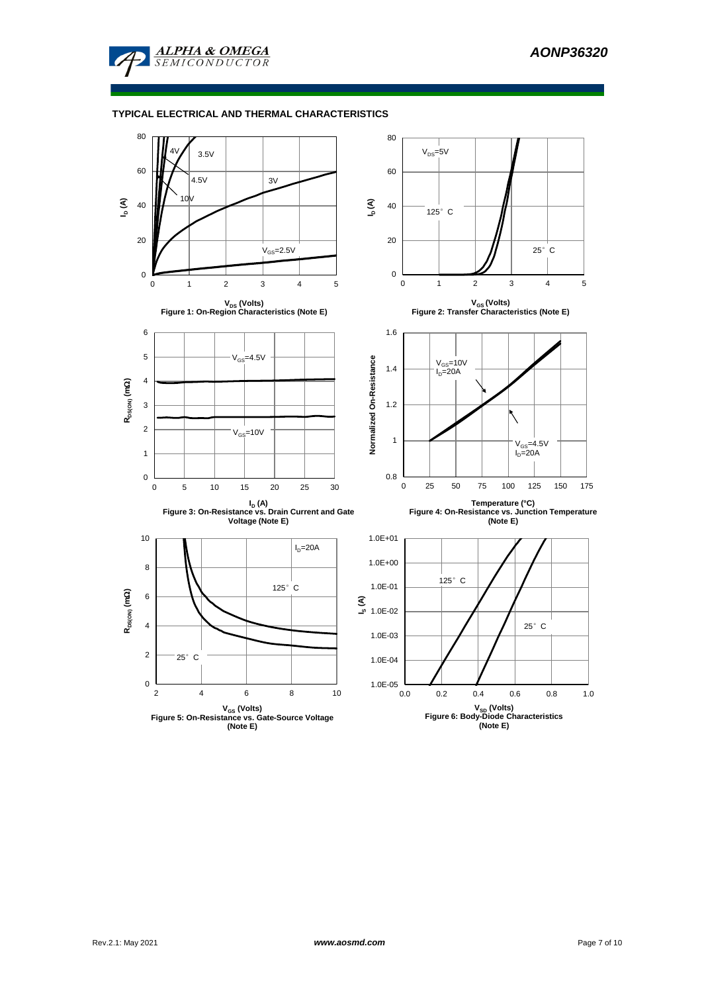

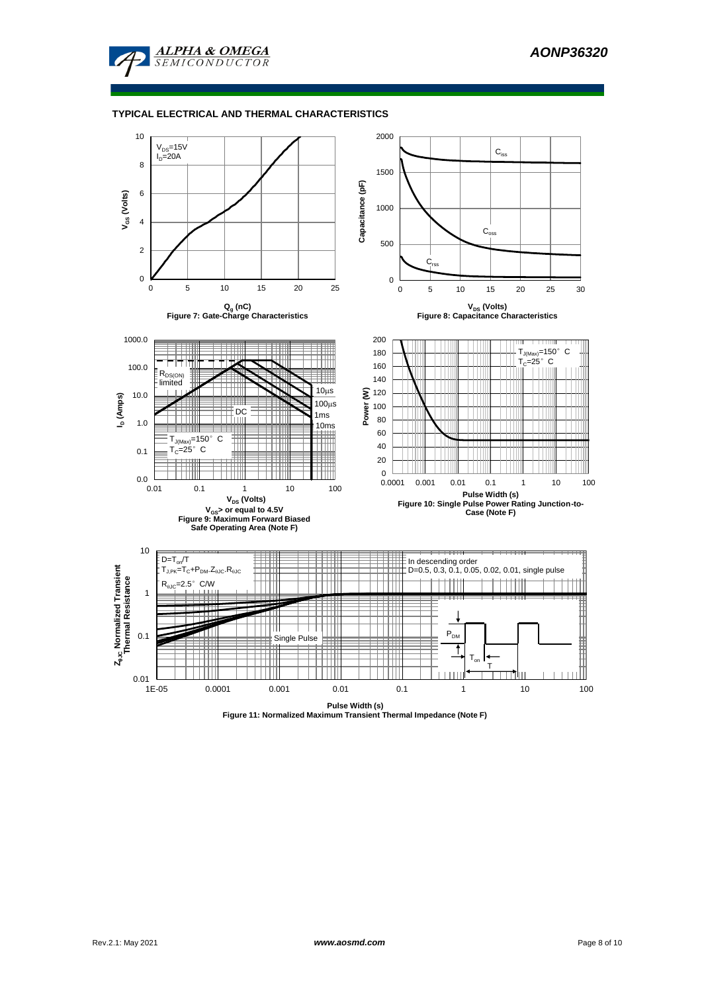



**Pulse Width (s) Figure 11: Normalized Maximum Transient Thermal Impedance (Note F)**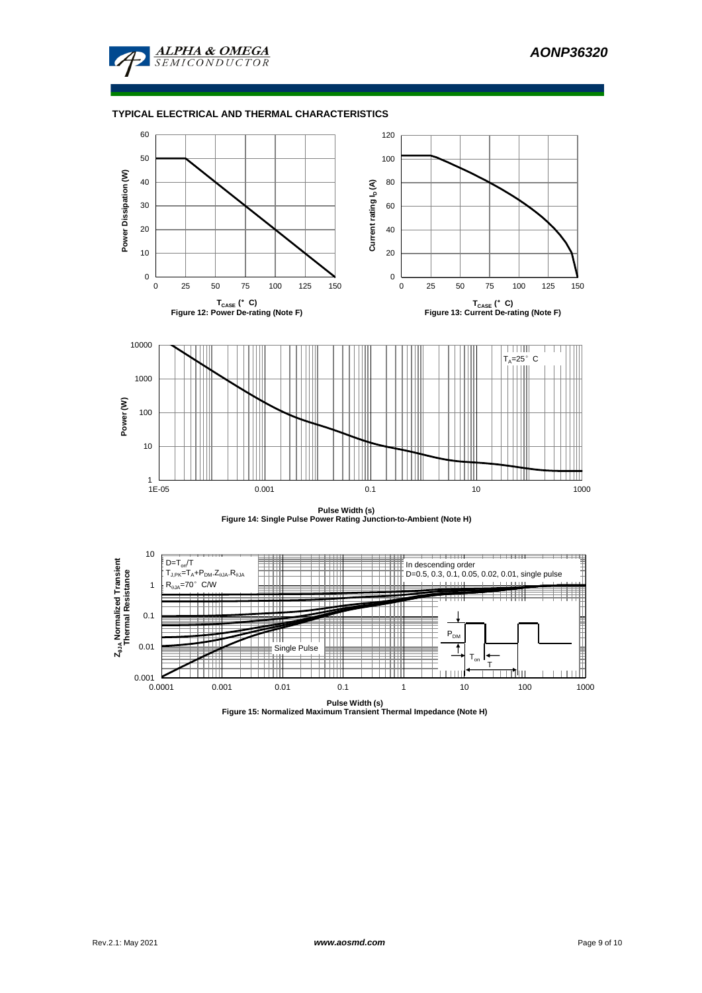